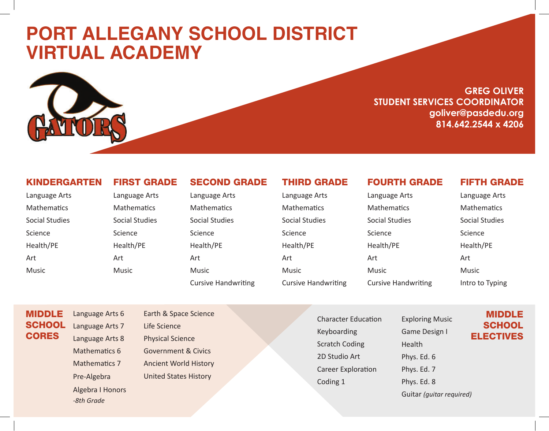# **PORT ALLEGANY SCHOOL DISTRICT VIRTUAL ACADEMY**



### **GREG OLIVER STUDENT SERVICES COORDINATOR goliver@pasdedu.org 814.642.2544 x 4206**

#### KINDERGARTEN

| Language Arts  |
|----------------|
| Mathematics    |
| Social Studies |
| Science        |
| Health/PE      |
| Art            |
| Music          |

FIRST GRADE

Language Arts **Mathematics** Social Studies

Science Health/PE

Art

Music

## SECOND GRADE

Language Arts **Mathematics** Social Studies Science Health/PE Art Music Cursive Handwriting THIRD GRADE

Language Arts **Mathematics** Social Studies Science Health/PE Art Music Cursive Handwriting

#### FOURTH GRADE

Language Arts **Mathematics** Social Studies Science Health/PE Art Music Cursive Handwriting

#### FIFTH GRADE

Language Arts **Mathematics** Social Studies Science Health/PE Art Music Intro to Typing

MIDDLE **SCHOOL CORES** 

Language Arts 6 Language Arts 7 Language Arts 8 Mathematics 6 Mathematics 7 Pre-Algebra Algebra I Honors *-8th Grade*

Earth & Space Science Life Science Physical Science Government & Civics Ancient World History United States History

Character Education Keyboarding Scratch Coding 2D Studio Art Career Exploration Coding 1

Exploring Music Game Design I Health Phys. Ed. 6 Phys. Ed. 7 Phys. Ed. 8 Guitar *(guitar required)*

#### MIDDLE **SCHOOL** ELECTIVES